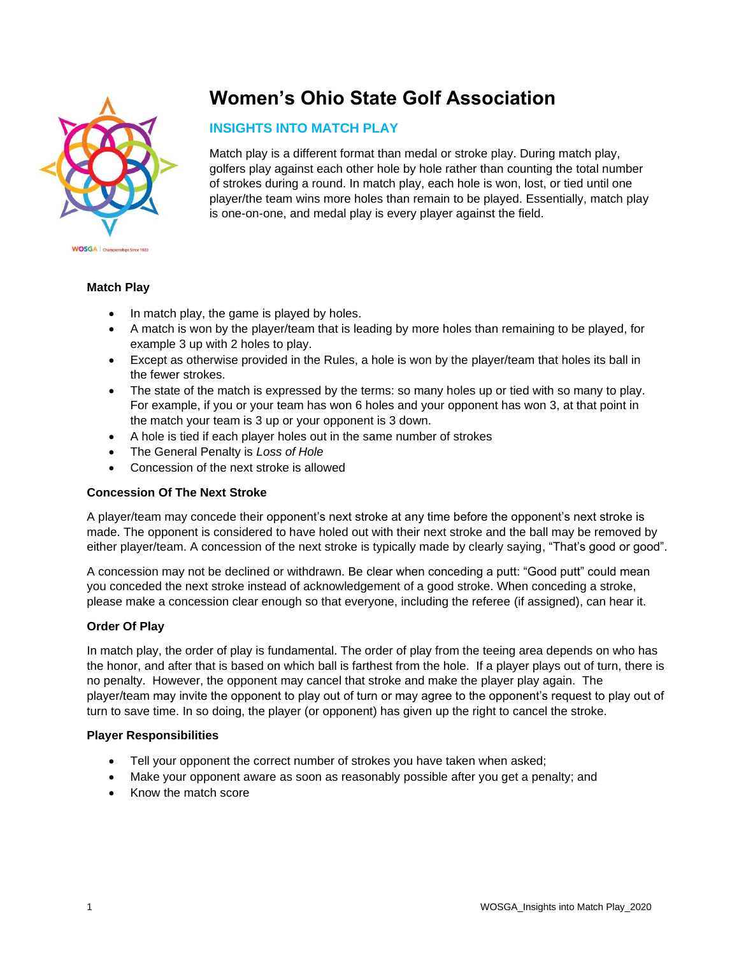

# **Women's Ohio State Golf Association**

## **INSIGHTS INTO MATCH PLAY**

Match play is a different format than medal or stroke play. During match play, golfers play against each other hole by hole rather than counting the total number of strokes during a round. In match play, each hole is won, lost, or tied until one player/the team wins more holes than remain to be played. Essentially, match play is one-on-one, and medal play is every player against the field.

### **Match Play**

- In match play, the game is played by holes.
- A match is won by the player/team that is leading by more holes than remaining to be played, for example 3 up with 2 holes to play.
- Except as otherwise provided in the Rules, a hole is won by the player/team that holes its ball in the fewer strokes.
- The state of the match is expressed by the terms: so many holes up or tied with so many to play. For example, if you or your team has won 6 holes and your opponent has won 3, at that point in the match your team is 3 up or your opponent is 3 down.
- A hole is tied if each player holes out in the same number of strokes
- The General Penalty is *Loss of Hole*
- Concession of the next stroke is allowed

## **Concession Of The Next Stroke**

A player/team may concede their opponent's next stroke at any time before the opponent's next stroke is made. The opponent is considered to have holed out with their next stroke and the ball may be removed by either player/team. A concession of the next stroke is typically made by clearly saying, "That's good or good".

A concession may not be declined or withdrawn. Be clear when conceding a putt: "Good putt" could mean you conceded the next stroke instead of acknowledgement of a good stroke. When conceding a stroke, please make a concession clear enough so that everyone, including the referee (if assigned), can hear it.

## **Order Of Play**

In match play, the order of play is fundamental. The order of play from the teeing area depends on who has the honor, and after that is based on which ball is farthest from the hole. If a player plays out of turn, there is no penalty. However, the opponent may cancel that stroke and make the player play again. The player/team may invite the opponent to play out of turn or may agree to the opponent's request to play out of turn to save time. In so doing, the player (or opponent) has given up the right to cancel the stroke.

#### **Player Responsibilities**

- Tell your opponent the correct number of strokes you have taken when asked;
- Make your opponent aware as soon as reasonably possible after you get a penalty; and
- Know the match score